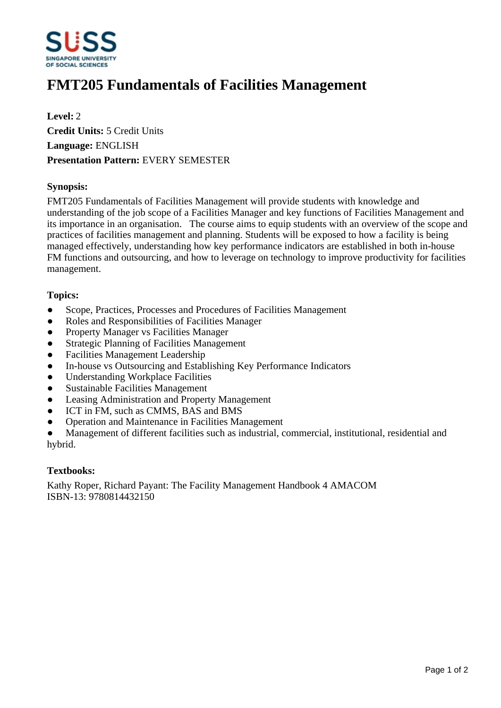

# **FMT205 Fundamentals of Facilities Management**

**Level:** 2 **Credit Units:** 5 Credit Units **Language:** ENGLISH **Presentation Pattern:** EVERY SEMESTER

## **Synopsis:**

FMT205 Fundamentals of Facilities Management will provide students with knowledge and understanding of the job scope of a Facilities Manager and key functions of Facilities Management and its importance in an organisation. The course aims to equip students with an overview of the scope and practices of facilities management and planning. Students will be exposed to how a facility is being managed effectively, understanding how key performance indicators are established in both in-house FM functions and outsourcing, and how to leverage on technology to improve productivity for facilities management.

#### **Topics:**

- Scope, Practices, Processes and Procedures of Facilities Management
- Roles and Responsibilities of Facilities Manager
- Property Manager vs Facilities Manager
- Strategic Planning of Facilities Management
- Facilities Management Leadership
- In-house vs Outsourcing and Establishing Key Performance Indicators
- Understanding Workplace Facilities
- Sustainable Facilities Management
- Leasing Administration and Property Management
- ICT in FM, such as CMMS, BAS and BMS
- Operation and Maintenance in Facilities Management

Management of different facilities such as industrial, commercial, institutional, residential and hybrid.

#### **Textbooks:**

Kathy Roper, Richard Payant: The Facility Management Handbook 4 AMACOM ISBN-13: 9780814432150